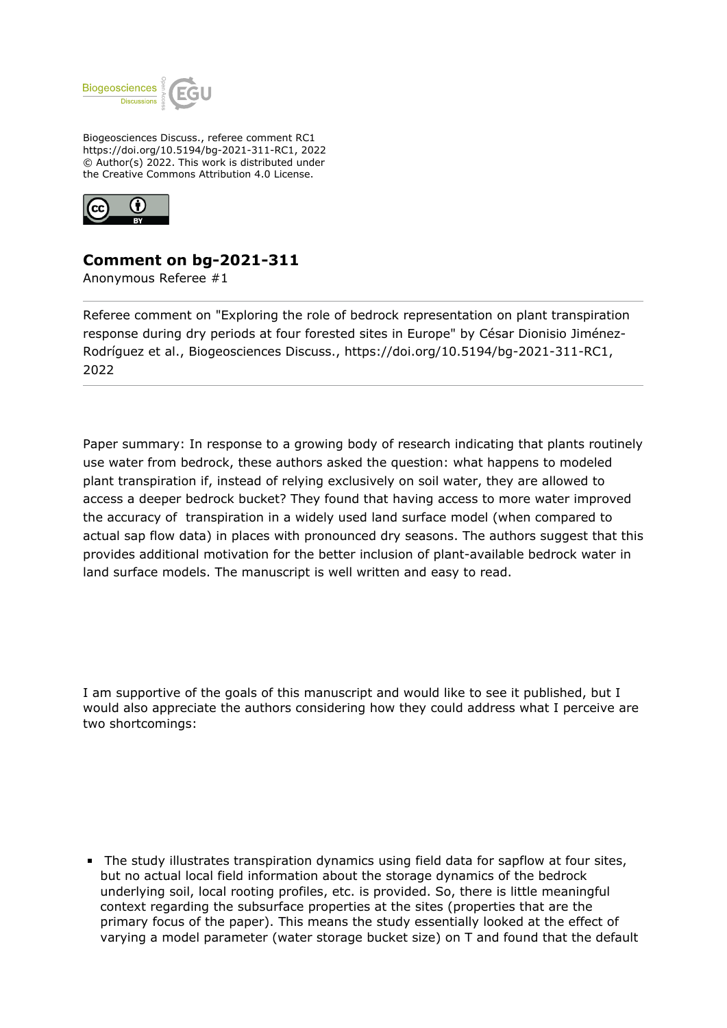

Biogeosciences Discuss., referee comment RC1 https://doi.org/10.5194/bg-2021-311-RC1, 2022 © Author(s) 2022. This work is distributed under the Creative Commons Attribution 4.0 License.



## **Comment on bg-2021-311**

Anonymous Referee #1

Referee comment on "Exploring the role of bedrock representation on plant transpiration response during dry periods at four forested sites in Europe" by César Dionisio Jiménez-Rodríguez et al., Biogeosciences Discuss., https://doi.org/10.5194/bg-2021-311-RC1, 2022

Paper summary: In response to a growing body of research indicating that plants routinely use water from bedrock, these authors asked the question: what happens to modeled plant transpiration if, instead of relying exclusively on soil water, they are allowed to access a deeper bedrock bucket? They found that having access to more water improved the accuracy of transpiration in a widely used land surface model (when compared to actual sap flow data) in places with pronounced dry seasons. The authors suggest that this provides additional motivation for the better inclusion of plant-available bedrock water in land surface models. The manuscript is well written and easy to read.

I am supportive of the goals of this manuscript and would like to see it published, but I would also appreciate the authors considering how they could address what I perceive are two shortcomings:

The study illustrates transpiration dynamics using field data for sapflow at four sites, but no actual local field information about the storage dynamics of the bedrock underlying soil, local rooting profiles, etc. is provided. So, there is little meaningful context regarding the subsurface properties at the sites (properties that are the primary focus of the paper). This means the study essentially looked at the effect of varying a model parameter (water storage bucket size) on T and found that the default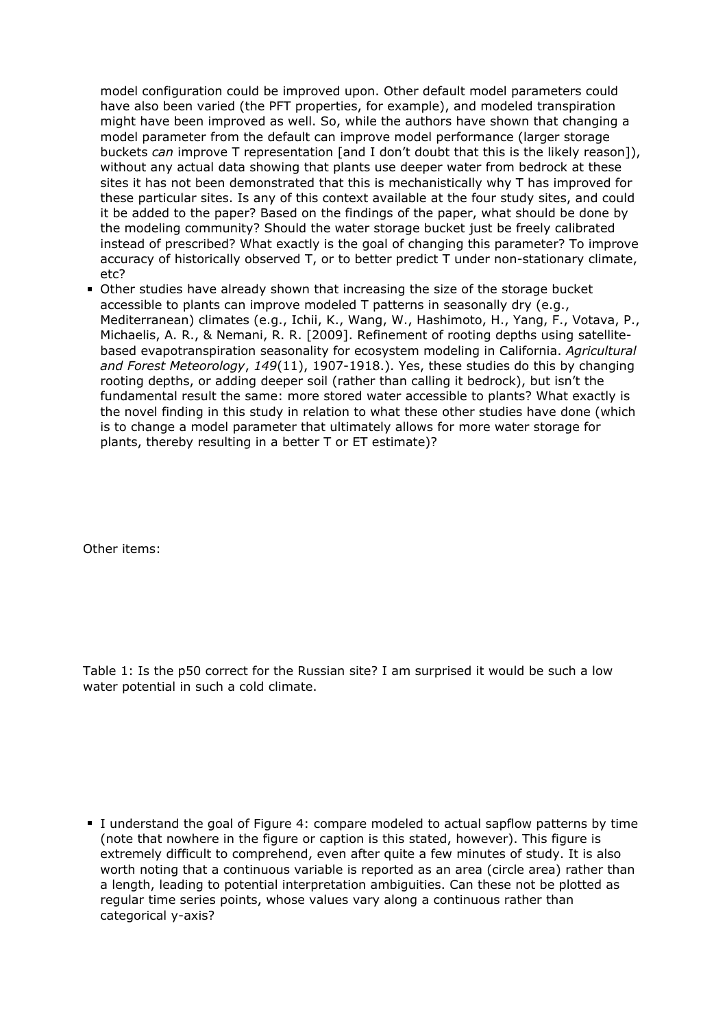model configuration could be improved upon. Other default model parameters could have also been varied (the PFT properties, for example), and modeled transpiration might have been improved as well. So, while the authors have shown that changing a model parameter from the default can improve model performance (larger storage buckets *can* improve T representation [and I don't doubt that this is the likely reason]), without any actual data showing that plants use deeper water from bedrock at these sites it has not been demonstrated that this is mechanistically why T has improved for these particular sites. Is any of this context available at the four study sites, and could it be added to the paper? Based on the findings of the paper, what should be done by the modeling community? Should the water storage bucket just be freely calibrated instead of prescribed? What exactly is the goal of changing this parameter? To improve accuracy of historically observed T, or to better predict T under non-stationary climate, etc?

Other studies have already shown that increasing the size of the storage bucket accessible to plants can improve modeled T patterns in seasonally dry (e.g., Mediterranean) climates (e.g., Ichii, K., Wang, W., Hashimoto, H., Yang, F., Votava, P., Michaelis, A. R., & Nemani, R. R. [2009]. Refinement of rooting depths using satellitebased evapotranspiration seasonality for ecosystem modeling in California. *Agricultural and Forest Meteorology*, *149*(11), 1907-1918.). Yes, these studies do this by changing rooting depths, or adding deeper soil (rather than calling it bedrock), but isn't the fundamental result the same: more stored water accessible to plants? What exactly is the novel finding in this study in relation to what these other studies have done (which is to change a model parameter that ultimately allows for more water storage for plants, thereby resulting in a better T or ET estimate)?

Other items:

Table 1: Is the p50 correct for the Russian site? I am surprised it would be such a low water potential in such a cold climate.

I understand the goal of Figure 4: compare modeled to actual sapflow patterns by time (note that nowhere in the figure or caption is this stated, however). This figure is extremely difficult to comprehend, even after quite a few minutes of study. It is also worth noting that a continuous variable is reported as an area (circle area) rather than a length, leading to potential interpretation ambiguities. Can these not be plotted as regular time series points, whose values vary along a continuous rather than categorical y-axis?